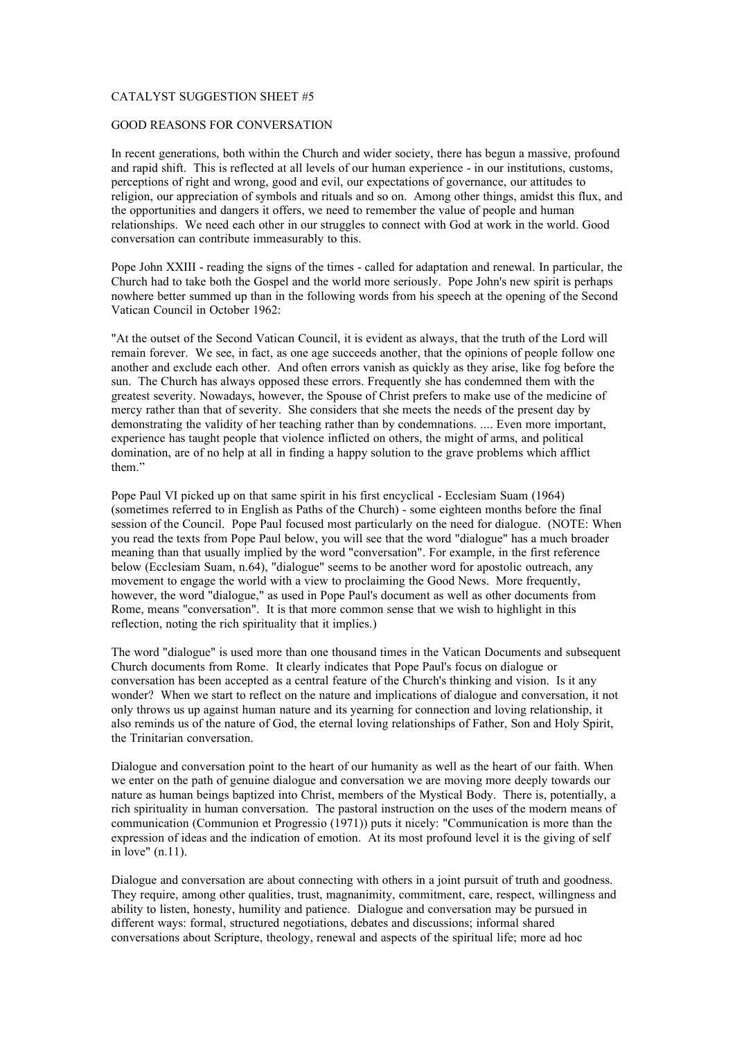## CATALYST SUGGESTION SHEET #5

## GOOD REASONS FOR CONVERSATION

In recent generations, both within the Church and wider society, there has begun a massive, profound and rapid shift. This is reflected at all levels of our human experience - in our institutions, customs, perceptions of right and wrong, good and evil, our expectations of governance, our attitudes to religion, our appreciation of symbols and rituals and so on. Among other things, amidst this flux, and the opportunities and dangers it offers, we need to remember the value of people and human relationships. We need each other in our struggles to connect with God at work in the world. Good conversation can contribute immeasurably to this.

Pope John XXIII - reading the signs of the times - called for adaptation and renewal. In particular, the Church had to take both the Gospel and the world more seriously. Pope John's new spirit is perhaps nowhere better summed up than in the following words from his speech at the opening of the Second Vatican Council in October 1962:

"At the outset of the Second Vatican Council, it is evident as always, that the truth of the Lord will remain forever. We see, in fact, as one age succeeds another, that the opinions of people follow one another and exclude each other. And often errors vanish as quickly as they arise, like fog before the sun. The Church has always opposed these errors. Frequently she has condemned them with the greatest severity. Nowadays, however, the Spouse of Christ prefers to make use of the medicine of mercy rather than that of severity. She considers that she meets the needs of the present day by demonstrating the validity of her teaching rather than by condemnations. .... Even more important, experience has taught people that violence inflicted on others, the might of arms, and political domination, are of no help at all in finding a happy solution to the grave problems which afflict them."

Pope Paul VI picked up on that same spirit in his first encyclical - Ecclesiam Suam (1964) (sometimes referred to in English as Paths of the Church) - some eighteen months before the final session of the Council. Pope Paul focused most particularly on the need for dialogue. (NOTE: When you read the texts from Pope Paul below, you will see that the word "dialogue" has a much broader meaning than that usually implied by the word "conversation". For example, in the first reference below (Ecclesiam Suam, n.64), "dialogue" seems to be another word for apostolic outreach, any movement to engage the world with a view to proclaiming the Good News. More frequently, however, the word "dialogue," as used in Pope Paul's document as well as other documents from Rome, means "conversation". It is that more common sense that we wish to highlight in this reflection, noting the rich spirituality that it implies.)

The word "dialogue" is used more than one thousand times in the Vatican Documents and subsequent Church documents from Rome. It clearly indicates that Pope Paul's focus on dialogue or conversation has been accepted as a central feature of the Church's thinking and vision. Is it any wonder? When we start to reflect on the nature and implications of dialogue and conversation, it not only throws us up against human nature and its yearning for connection and loving relationship, it also reminds us of the nature of God, the eternal loving relationships of Father, Son and Holy Spirit, the Trinitarian conversation.

Dialogue and conversation point to the heart of our humanity as well as the heart of our faith. When we enter on the path of genuine dialogue and conversation we are moving more deeply towards our nature as human beings baptized into Christ, members of the Mystical Body. There is, potentially, a rich spirituality in human conversation. The pastoral instruction on the uses of the modern means of communication (Communion et Progressio (1971)) puts it nicely: "Communication is more than the expression of ideas and the indication of emotion. At its most profound level it is the giving of self in love" (n.11).

Dialogue and conversation are about connecting with others in a joint pursuit of truth and goodness. They require, among other qualities, trust, magnanimity, commitment, care, respect, willingness and ability to listen, honesty, humility and patience. Dialogue and conversation may be pursued in different ways: formal, structured negotiations, debates and discussions; informal shared conversations about Scripture, theology, renewal and aspects of the spiritual life; more ad hoc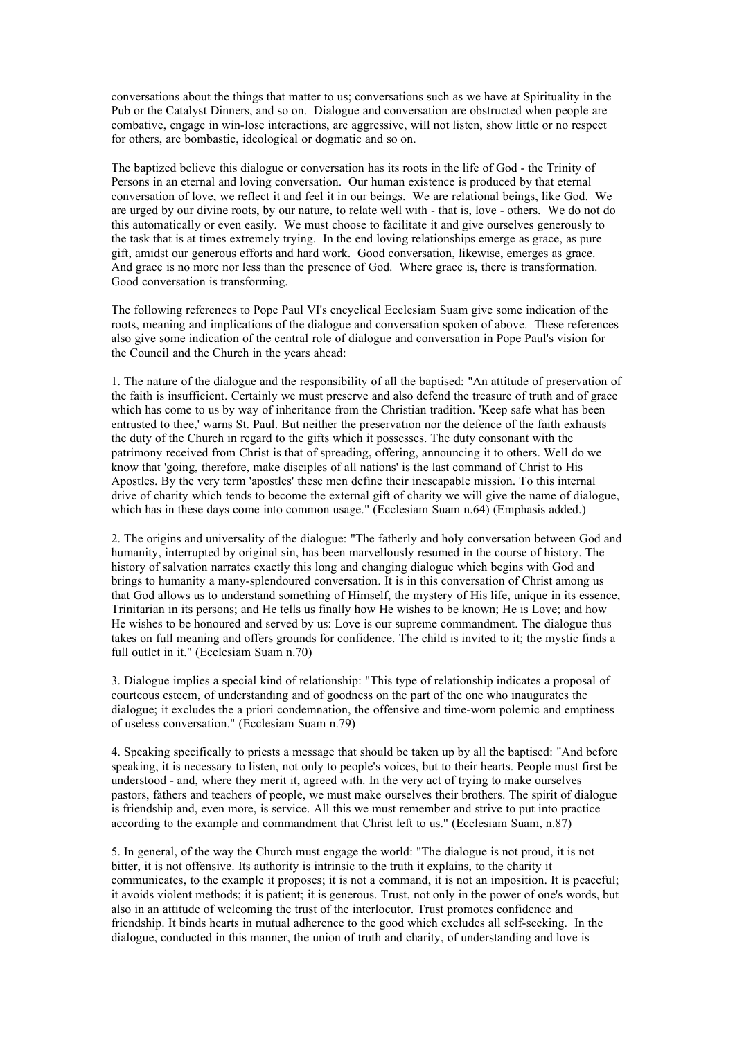conversations about the things that matter to us; conversations such as we have at Spirituality in the Pub or the Catalyst Dinners, and so on. Dialogue and conversation are obstructed when people are combative, engage in win-lose interactions, are aggressive, will not listen, show little or no respect for others, are bombastic, ideological or dogmatic and so on.

The baptized believe this dialogue or conversation has its roots in the life of God - the Trinity of Persons in an eternal and loving conversation. Our human existence is produced by that eternal conversation of love, we reflect it and feel it in our beings. We are relational beings, like God. We are urged by our divine roots, by our nature, to relate well with - that is, love - others. We do not do this automatically or even easily. We must choose to facilitate it and give ourselves generously to the task that is at times extremely trying. In the end loving relationships emerge as grace, as pure gift, amidst our generous efforts and hard work. Good conversation, likewise, emerges as grace. And grace is no more nor less than the presence of God. Where grace is, there is transformation. Good conversation is transforming.

The following references to Pope Paul VI's encyclical Ecclesiam Suam give some indication of the roots, meaning and implications of the dialogue and conversation spoken of above. These references also give some indication of the central role of dialogue and conversation in Pope Paul's vision for the Council and the Church in the years ahead:

1. The nature of the dialogue and the responsibility of all the baptised: "An attitude of preservation of the faith is insufficient. Certainly we must preserve and also defend the treasure of truth and of grace which has come to us by way of inheritance from the Christian tradition. 'Keep safe what has been entrusted to thee,' warns St. Paul. But neither the preservation nor the defence of the faith exhausts the duty of the Church in regard to the gifts which it possesses. The duty consonant with the patrimony received from Christ is that of spreading, offering, announcing it to others. Well do we know that 'going, therefore, make disciples of all nations' is the last command of Christ to His Apostles. By the very term 'apostles' these men define their inescapable mission. To this internal drive of charity which tends to become the external gift of charity we will give the name of dialogue, which has in these days come into common usage." (Ecclesiam Suam n.64) (Emphasis added.)

2. The origins and universality of the dialogue: "The fatherly and holy conversation between God and humanity, interrupted by original sin, has been marvellously resumed in the course of history. The history of salvation narrates exactly this long and changing dialogue which begins with God and brings to humanity a many-splendoured conversation. It is in this conversation of Christ among us that God allows us to understand something of Himself, the mystery of His life, unique in its essence, Trinitarian in its persons; and He tells us finally how He wishes to be known; He is Love; and how He wishes to be honoured and served by us: Love is our supreme commandment. The dialogue thus takes on full meaning and offers grounds for confidence. The child is invited to it; the mystic finds a full outlet in it." (Ecclesiam Suam n.70)

3. Dialogue implies a special kind of relationship: "This type of relationship indicates a proposal of courteous esteem, of understanding and of goodness on the part of the one who inaugurates the dialogue; it excludes the a priori condemnation, the offensive and time-worn polemic and emptiness of useless conversation." (Ecclesiam Suam n.79)

4. Speaking specifically to priests a message that should be taken up by all the baptised: "And before speaking, it is necessary to listen, not only to people's voices, but to their hearts. People must first be understood - and, where they merit it, agreed with. In the very act of trying to make ourselves pastors, fathers and teachers of people, we must make ourselves their brothers. The spirit of dialogue is friendship and, even more, is service. All this we must remember and strive to put into practice according to the example and commandment that Christ left to us." (Ecclesiam Suam, n.87)

5. In general, of the way the Church must engage the world: "The dialogue is not proud, it is not bitter, it is not offensive. Its authority is intrinsic to the truth it explains, to the charity it communicates, to the example it proposes; it is not a command, it is not an imposition. It is peaceful; it avoids violent methods; it is patient; it is generous. Trust, not only in the power of one's words, but also in an attitude of welcoming the trust of the interlocutor. Trust promotes confidence and friendship. It binds hearts in mutual adherence to the good which excludes all self-seeking. In the dialogue, conducted in this manner, the union of truth and charity, of understanding and love is